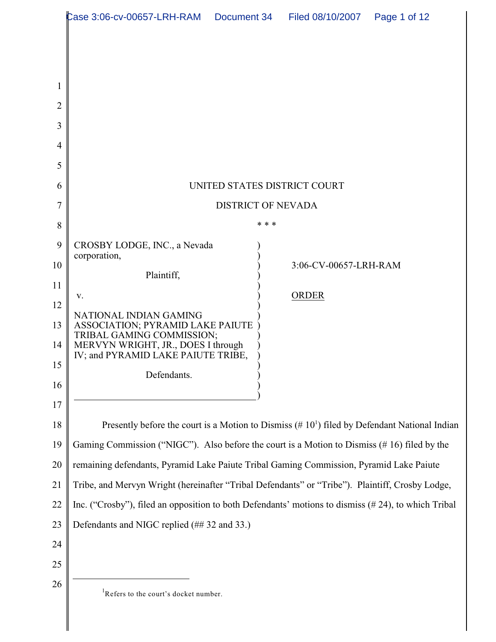|                                  | Case 3:06-cv-00657-LRH-RAM  Document 34<br>Filed 08/10/2007<br>Page 1 of 12                             |
|----------------------------------|---------------------------------------------------------------------------------------------------------|
| $\mathbf{1}$<br>2<br>3<br>4<br>5 |                                                                                                         |
| 6                                | UNITED STATES DISTRICT COURT                                                                            |
| 7                                | <b>DISTRICT OF NEVADA</b>                                                                               |
| 8                                | * * *                                                                                                   |
| 9                                | CROSBY LODGE, INC., a Nevada<br>corporation,                                                            |
| 10<br>11                         | 3:06-CV-00657-LRH-RAM<br>Plaintiff,                                                                     |
| 12                               | <b>ORDER</b><br>V.                                                                                      |
| 13                               | NATIONAL INDIAN GAMING<br>ASSOCIATION; PYRAMID LAKE PAIUTE                                              |
| 14                               | TRIBAL GAMING COMMISSION;<br>MERVYN WRIGHT, JR., DOES I through                                         |
| 15                               | IV; and PYRAMID LAKE PAIUTE TRIBE,                                                                      |
| 16                               | Defendants.                                                                                             |
| 17                               |                                                                                                         |
| 18                               | Presently before the court is a Motion to Dismiss $(# 101)$ filed by Defendant National Indian          |
| 19                               | Gaming Commission ("NIGC"). Also before the court is a Motion to Dismiss (#16) filed by the             |
| 20                               | remaining defendants, Pyramid Lake Paiute Tribal Gaming Commission, Pyramid Lake Paiute                 |
| 21                               | Tribe, and Mervyn Wright (hereinafter "Tribal Defendants" or "Tribe"). Plaintiff, Crosby Lodge,         |
| 22                               | Inc. ("Crosby"), filed an opposition to both Defendants' motions to dismiss $(\# 24)$ , to which Tribal |
| 23                               | Defendants and NIGC replied (## 32 and 33.)                                                             |
| 24                               |                                                                                                         |
| 25                               |                                                                                                         |
| 26                               | <sup>1</sup> Refers to the court's docket number.                                                       |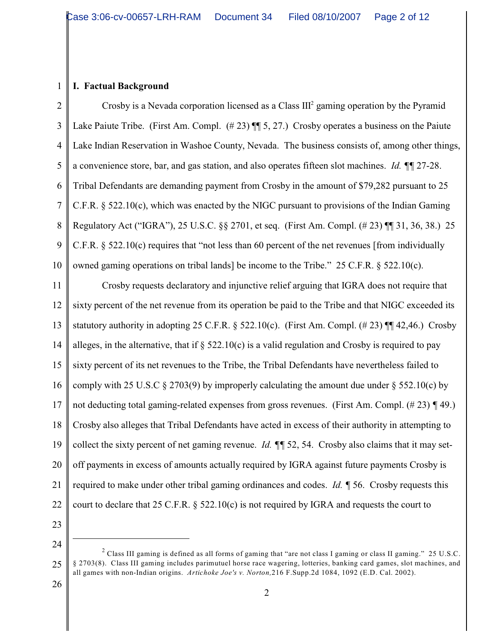#### **I. Factual Background**

1

2 3 4 5 6 7 8 9 10 Crosby is a Nevada corporation licensed as a Class  $III<sup>2</sup>$  gaming operation by the Pyramid Lake Paiute Tribe. (First Am. Compl. (#23)  $\P$  5, 27.) Crosby operates a business on the Paiute Lake Indian Reservation in Washoe County, Nevada. The business consists of, among other things, a convenience store, bar, and gas station, and also operates fifteen slot machines. *Id. ¶¶* 27-28. Tribal Defendants are demanding payment from Crosby in the amount of \$79,282 pursuant to 25 C.F.R. § 522.10(c), which was enacted by the NIGC pursuant to provisions of the Indian Gaming Regulatory Act ("IGRA"), 25 U.S.C. §§ 2701, et seq. (First Am. Compl. (# 23) ¶¶ 31, 36, 38.) 25 C.F.R. § 522.10(c) requires that "not less than 60 percent of the net revenues [from individually owned gaming operations on tribal lands] be income to the Tribe." 25 C.F.R.  $\S$  522.10(c).

11 12 13 14 15 16 17 18 19 20 21 22 Crosby requests declaratory and injunctive relief arguing that IGRA does not require that sixty percent of the net revenue from its operation be paid to the Tribe and that NIGC exceeded its statutory authority in adopting 25 C.F.R. § 522.10(c). (First Am. Compl.  $(\# 23)$  ¶ 42,46.) Crosby alleges, in the alternative, that if  $\S$  522.10(c) is a valid regulation and Crosby is required to pay sixty percent of its net revenues to the Tribe, the Tribal Defendants have nevertheless failed to comply with 25 U.S.C  $\S 2703(9)$  by improperly calculating the amount due under  $\S 552.10(c)$  by not deducting total gaming-related expenses from gross revenues. (First Am. Compl. (# 23) *¶* 49.) Crosby also alleges that Tribal Defendants have acted in excess of their authority in attempting to collect the sixty percent of net gaming revenue. *Id. ¶¶* 52, 54. Crosby also claims that it may setoff payments in excess of amounts actually required by IGRA against future payments Crosby is required to make under other tribal gaming ordinances and codes. *Id. ¶* 56. Crosby requests this court to declare that 25 C.F.R. § 522.10(c) is not required by IGRA and requests the court to

23

24

<sup>25</sup> <sup>2</sup> Class III gaming is defined as all forms of gaming that "are not class I gaming or class II gaming." 25 U.S.C. § 2703(8). Class III gaming includes parimutuel horse race wagering, lotteries, banking card games, slot machines, and all games with non-Indian origins. *Artichoke Joe's v. Norton,*216 F.Supp.2d 1084, 1092 (E.D. Cal. 2002).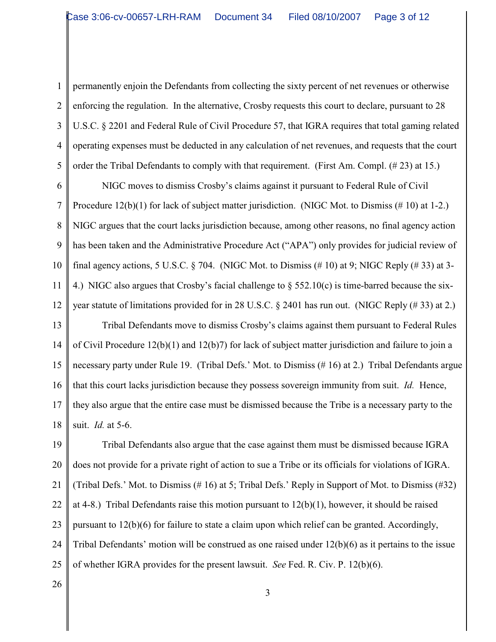1 2

3

4

5

permanently enjoin the Defendants from collecting the sixty percent of net revenues or otherwise enforcing the regulation. In the alternative, Crosby requests this court to declare, pursuant to 28 U.S.C. § 2201 and Federal Rule of Civil Procedure 57, that IGRA requires that total gaming related operating expenses must be deducted in any calculation of net revenues, and requests that the court order the Tribal Defendants to comply with that requirement. (First Am. Compl. (# 23) at 15.)

6 7 8 9 10 11 12 NIGC moves to dismiss Crosby's claims against it pursuant to Federal Rule of Civil Procedure 12(b)(1) for lack of subject matter jurisdiction. (NIGC Mot. to Dismiss (# 10) at 1-2.) NIGC argues that the court lacks jurisdiction because, among other reasons, no final agency action has been taken and the Administrative Procedure Act ("APA") only provides for judicial review of final agency actions, 5 U.S.C.  $\S$  704. (NIGC Mot. to Dismiss  $(\# 10)$  at 9; NIGC Reply  $(\# 33)$  at 3-4.) NIGC also argues that Crosby's facial challenge to  $\S$  552.10(c) is time-barred because the sixyear statute of limitations provided for in 28 U.S.C. § 2401 has run out. (NIGC Reply (# 33) at 2.)

13 14 15 16 17 18 Tribal Defendants move to dismiss Crosby's claims against them pursuant to Federal Rules of Civil Procedure 12(b)(1) and 12(b)7) for lack of subject matter jurisdiction and failure to join a necessary party under Rule 19. (Tribal Defs.' Mot. to Dismiss (# 16) at 2.) Tribal Defendants argue that this court lacks jurisdiction because they possess sovereign immunity from suit. *Id.* Hence, they also argue that the entire case must be dismissed because the Tribe is a necessary party to the suit. *Id.* at 5-6.

19 20 21 22 23 24 25 Tribal Defendants also argue that the case against them must be dismissed because IGRA does not provide for a private right of action to sue a Tribe or its officials for violations of IGRA. (Tribal Defs.' Mot. to Dismiss (# 16) at 5; Tribal Defs.' Reply in Support of Mot. to Dismiss (#32) at 4-8.) Tribal Defendants raise this motion pursuant to  $12(b)(1)$ , however, it should be raised pursuant to 12(b)(6) for failure to state a claim upon which relief can be granted. Accordingly, Tribal Defendants' motion will be construed as one raised under 12(b)(6) as it pertains to the issue of whether IGRA provides for the present lawsuit. *See* Fed. R. Civ. P. 12(b)(6).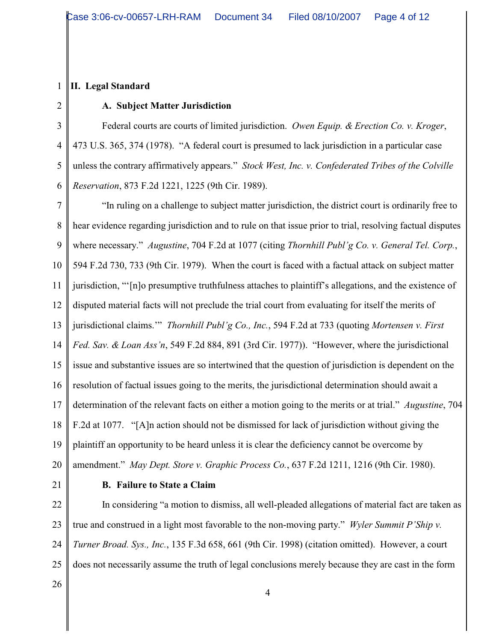#### **II. Legal Standard**

## 3 4

1

2

### **A. Subject Matter Jurisdiction**

5 6 Federal courts are courts of limited jurisdiction. *Owen Equip. & Erection Co. v. Kroger*, 473 U.S. 365, 374 (1978). "A federal court is presumed to lack jurisdiction in a particular case unless the contrary affirmatively appears." *Stock West, Inc. v. Confederated Tribes of the Colville Reservation*, 873 F.2d 1221, 1225 (9th Cir. 1989).

7 8 9 10 11 12 13 14 15 16 17 18 19 20 "In ruling on a challenge to subject matter jurisdiction, the district court is ordinarily free to hear evidence regarding jurisdiction and to rule on that issue prior to trial, resolving factual disputes where necessary." *Augustine*, 704 F.2d at 1077 (citing *Thornhill Publ'g Co. v. General Tel. Corp.*, 594 F.2d 730, 733 (9th Cir. 1979). When the court is faced with a factual attack on subject matter jurisdiction, "'[n]o presumptive truthfulness attaches to plaintiff's allegations, and the existence of disputed material facts will not preclude the trial court from evaluating for itself the merits of jurisdictional claims.'" *Thornhill Publ'g Co., Inc.*, 594 F.2d at 733 (quoting *Mortensen v. First Fed. Sav. & Loan Ass'n*, 549 F.2d 884, 891 (3rd Cir. 1977)). "However, where the jurisdictional issue and substantive issues are so intertwined that the question of jurisdiction is dependent on the resolution of factual issues going to the merits, the jurisdictional determination should await a determination of the relevant facts on either a motion going to the merits or at trial." *Augustine*, 704 F.2d at 1077. "[A]n action should not be dismissed for lack of jurisdiction without giving the plaintiff an opportunity to be heard unless it is clear the deficiency cannot be overcome by amendment." *May Dept. Store v. Graphic Process Co.*, 637 F.2d 1211, 1216 (9th Cir. 1980).

21

#### **B. Failure to State a Claim**

22 23 24 25 In considering "a motion to dismiss, all well-pleaded allegations of material fact are taken as true and construed in a light most favorable to the non-moving party." *Wyler Summit P'Ship v. Turner Broad. Sys., Inc.*, 135 F.3d 658, 661 (9th Cir. 1998) (citation omitted). However, a court does not necessarily assume the truth of legal conclusions merely because they are cast in the form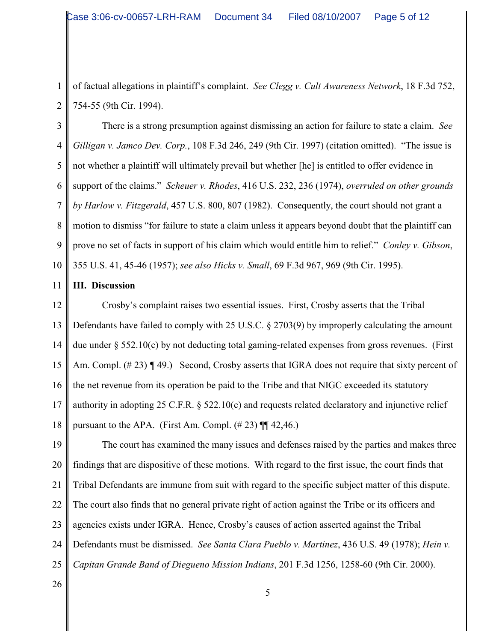2 of factual allegations in plaintiff's complaint. *See Clegg v. Cult Awareness Network*, 18 F.3d 752, 754-55 (9th Cir. 1994).

3 4 5 6 7 8 9 10 There is a strong presumption against dismissing an action for failure to state a claim. *See Gilligan v. Jamco Dev. Corp.*, 108 F.3d 246, 249 (9th Cir. 1997) (citation omitted). "The issue is not whether a plaintiff will ultimately prevail but whether [he] is entitled to offer evidence in support of the claims." *Scheuer v. Rhodes*, 416 U.S. 232, 236 (1974), *overruled on other grounds by Harlow v. Fitzgerald*, 457 U.S. 800, 807 (1982). Consequently, the court should not grant a motion to dismiss "for failure to state a claim unless it appears beyond doubt that the plaintiff can prove no set of facts in support of his claim which would entitle him to relief." *Conley v. Gibson*, 355 U.S. 41, 45-46 (1957); *see also Hicks v. Small*, 69 F.3d 967, 969 (9th Cir. 1995).

11 **III. Discussion**

1

12 13 14 15 16 17 18 Crosby's complaint raises two essential issues. First, Crosby asserts that the Tribal Defendants have failed to comply with 25 U.S.C. § 2703(9) by improperly calculating the amount due under  $\S 552.10(c)$  by not deducting total gaming-related expenses from gross revenues. (First Am. Compl. (#23) **[49.)** Second, Crosby asserts that IGRA does not require that sixty percent of the net revenue from its operation be paid to the Tribe and that NIGC exceeded its statutory authority in adopting 25 C.F.R. § 522.10(c) and requests related declaratory and injunctive relief pursuant to the APA. (First Am. Compl.  $(\# 23)$  ¶ 42,46.)

19 20 21 22 23 24 25 The court has examined the many issues and defenses raised by the parties and makes three findings that are dispositive of these motions. With regard to the first issue, the court finds that Tribal Defendants are immune from suit with regard to the specific subject matter of this dispute. The court also finds that no general private right of action against the Tribe or its officers and agencies exists under IGRA. Hence, Crosby's causes of action asserted against the Tribal Defendants must be dismissed. *See Santa Clara Pueblo v. Martinez*, 436 U.S. 49 (1978); *Hein v. Capitan Grande Band of Diegueno Mission Indians*, 201 F.3d 1256, 1258-60 (9th Cir. 2000).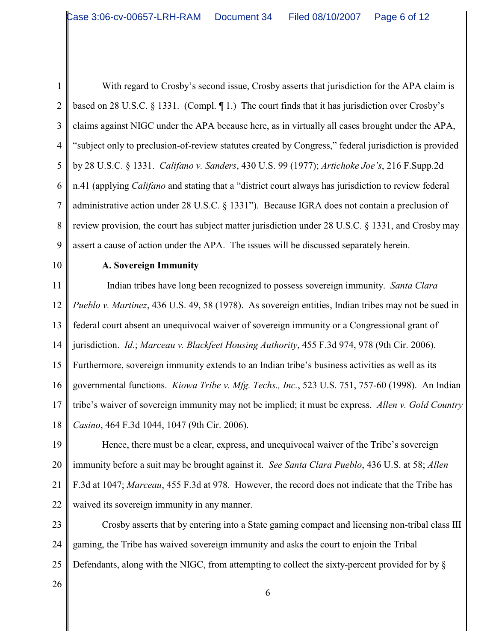1 2 3 4 5 6 7 8 9 10 11 12 13 14 15 16 17 18 With regard to Crosby's second issue, Crosby asserts that jurisdiction for the APA claim is based on 28 U.S.C. § 1331. (Compl. ¶ 1.) The court finds that it has jurisdiction over Crosby's claims against NIGC under the APA because here, as in virtually all cases brought under the APA, "subject only to preclusion-of-review statutes created by Congress," federal jurisdiction is provided by 28 U.S.C. § 1331. *Califano v. Sanders*, 430 U.S. 99 (1977); *Artichoke Joe's*, 216 F.Supp.2d n.41 (applying *Califano* and stating that a "district court always has jurisdiction to review federal administrative action under 28 U.S.C. § 1331"). Because IGRA does not contain a preclusion of review provision, the court has subject matter jurisdiction under 28 U.S.C. § 1331, and Crosby may assert a cause of action under the APA. The issues will be discussed separately herein. **A. Sovereign Immunity** Indian tribes have long been recognized to possess sovereign immunity. *Santa Clara Pueblo v. Martinez*, 436 U.S. 49, 58 (1978). As sovereign entities, Indian tribes may not be sued in federal court absent an unequivocal waiver of sovereign immunity or a Congressional grant of jurisdiction. *Id.*; *Marceau v. Blackfeet Housing Authority*, 455 F.3d 974, 978 (9th Cir. 2006). Furthermore, sovereign immunity extends to an Indian tribe's business activities as well as its governmental functions. *Kiowa Tribe v. Mfg. Techs., Inc.*, 523 U.S. 751, 757-60 (1998). An Indian tribe's waiver of sovereign immunity may not be implied; it must be express. *Allen v. Gold Country Casino*, 464 F.3d 1044, 1047 (9th Cir. 2006).

19 20 21 22 Hence, there must be a clear, express, and unequivocal waiver of the Tribe's sovereign immunity before a suit may be brought against it. *See Santa Clara Pueblo*, 436 U.S. at 58; *Allen* F.3d at 1047; *Marceau*, 455 F.3d at 978. However, the record does not indicate that the Tribe has waived its sovereign immunity in any manner.

23 24 25 Crosby asserts that by entering into a State gaming compact and licensing non-tribal class III gaming, the Tribe has waived sovereign immunity and asks the court to enjoin the Tribal Defendants, along with the NIGC, from attempting to collect the sixty-percent provided for by §

26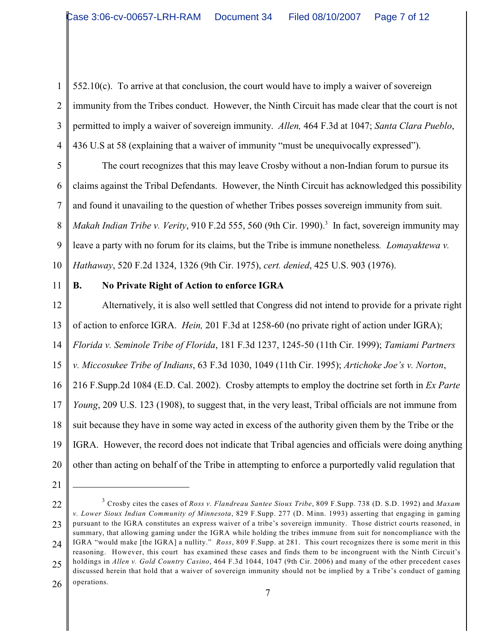1 2 3 4 552.10(c). To arrive at that conclusion, the court would have to imply a waiver of sovereign immunity from the Tribes conduct. However, the Ninth Circuit has made clear that the court is not permitted to imply a waiver of sovereign immunity. *Allen,* 464 F.3d at 1047; *Santa Clara Pueblo*, 436 U.S at 58 (explaining that a waiver of immunity "must be unequivocally expressed").

5 6 7 8 9 10 The court recognizes that this may leave Crosby without a non-Indian forum to pursue its claims against the Tribal Defendants. However, the Ninth Circuit has acknowledged this possibility and found it unavailing to the question of whether Tribes posses sovereign immunity from suit. *Makah Indian Tribe v. Verity*, 910 F.2d 555, 560 (9th Cir. 1990).<sup>3</sup> In fact, sovereign immunity may leave a party with no forum for its claims, but the Tribe is immune nonetheless*. Lomayaktewa v. Hathaway*, 520 F.2d 1324, 1326 (9th Cir. 1975), *cert. denied*, 425 U.S. 903 (1976).

11

#### **B. No Private Right of Action to enforce IGRA**

12 13 14 15 16 17 18 19 20 Alternatively, it is also well settled that Congress did not intend to provide for a private right of action to enforce IGRA. *Hein,* 201 F.3d at 1258-60 (no private right of action under IGRA); *Florida v. Seminole Tribe of Florida*, 181 F.3d 1237, 1245-50 (11th Cir. 1999); *Tamiami Partners v. Miccosukee Tribe of Indians*, 63 F.3d 1030, 1049 (11th Cir. 1995); *Artichoke Joe's v. Norton*, 216 F.Supp.2d 1084 (E.D. Cal. 2002). Crosby attempts to employ the doctrine set forth in *Ex Parte Young*, 209 U.S. 123 (1908), to suggest that, in the very least, Tribal officials are not immune from suit because they have in some way acted in excess of the authority given them by the Tribe or the IGRA. However, the record does not indicate that Tribal agencies and officials were doing anything other than acting on behalf of the Tribe in attempting to enforce a purportedly valid regulation that

21

<sup>22</sup> 23 24 25 26 Crosby cites the cases of *Ross v. Flandreau Santee Sioux Tribe*, 809 F.Supp. 738 (D. S.D. 1992) and *Maxam* 3 *v. Lower Sioux Indian Community of Minnesota*, 829 F.Supp. 277 (D. Minn. 1993) asserting that engaging in gaming pursuant to the IGRA constitutes an express waiver of a tribe's sovereign immunity. Those district courts reasoned, in summary, that allowing gaming under the IGRA while holding the tribes immune from suit for noncompliance with the IGRA "would make [the IGRA] a nullity." *Ross*, 809 F.Supp. at 281. This court recognizes there is some merit in this reasoning. However, this court has examined these cases and finds them to be incongruent with the Ninth Circuit's holdings in *Allen v. Gold Country Casino*, 464 F.3d 1044, 1047 (9th Cir. 2006) and many of the other precedent cases discussed herein that hold that a waiver of sovereign immunity should not be implied by a Tribe's conduct of gaming operations.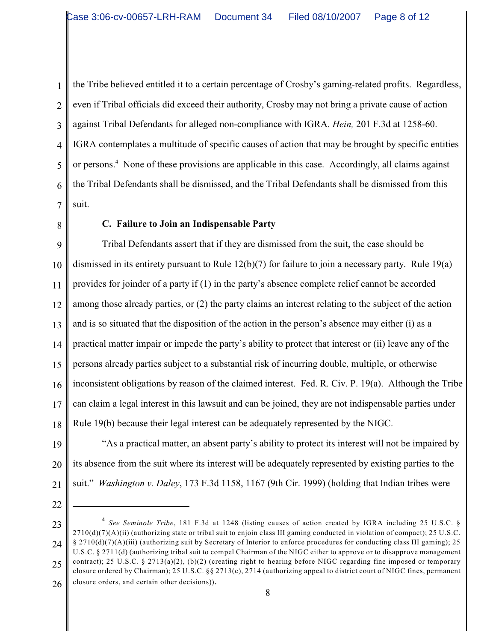1 2 3 4 5 6 7 the Tribe believed entitled it to a certain percentage of Crosby's gaming-related profits. Regardless, even if Tribal officials did exceed their authority, Crosby may not bring a private cause of action against Tribal Defendants for alleged non-compliance with IGRA. *Hein,* 201 F.3d at 1258-60. IGRA contemplates a multitude of specific causes of action that may be brought by specific entities or persons.<sup>4</sup> None of these provisions are applicable in this case. Accordingly, all claims against the Tribal Defendants shall be dismissed, and the Tribal Defendants shall be dismissed from this suit.

8

#### **C. Failure to Join an Indispensable Party**

9 10 11 12 13 14 15 16 17 18 Tribal Defendants assert that if they are dismissed from the suit, the case should be dismissed in its entirety pursuant to Rule 12(b)(7) for failure to join a necessary party. Rule 19(a) provides for joinder of a party if (1) in the party's absence complete relief cannot be accorded among those already parties, or (2) the party claims an interest relating to the subject of the action and is so situated that the disposition of the action in the person's absence may either (i) as a practical matter impair or impede the party's ability to protect that interest or (ii) leave any of the persons already parties subject to a substantial risk of incurring double, multiple, or otherwise inconsistent obligations by reason of the claimed interest. Fed. R. Civ. P. 19(a). Although the Tribe can claim a legal interest in this lawsuit and can be joined, they are not indispensable parties under Rule 19(b) because their legal interest can be adequately represented by the NIGC.

19 20 21 "As a practical matter, an absent party's ability to protect its interest will not be impaired by its absence from the suit where its interest will be adequately represented by existing parties to the suit." *Washington v. Daley*, 173 F.3d 1158, 1167 (9th Cir. 1999) (holding that Indian tribes were

22

23 24 25 <sup>4</sup> See Seminole Tribe, 181 F.3d at 1248 (listing causes of action created by IGRA including 25 U.S.C. §  $2710(d)(7)(A)(ii)$  (authorizing state or tribal suit to enjoin class III gaming conducted in violation of compact); 25 U.S.C. § 2710(d)(7)(A)(iii) (authorizing suit by Secretary of Interior to enforce procedures for conducting class III gaming); 25 U.S.C. § 2711(d) (authorizing tribal suit to compel Chairman of the NIGC either to approve or to disapprove management contract); 25 U.S.C. § 2713(a)(2), (b)(2) (creating right to hearing before NIGC regarding fine imposed or temporary closure ordered by Chairman); 25 U.S.C. §§ 2713(c), 2714 (authorizing appeal to district court of NIGC fines, permanent

26 closure orders, and certain other decisions)).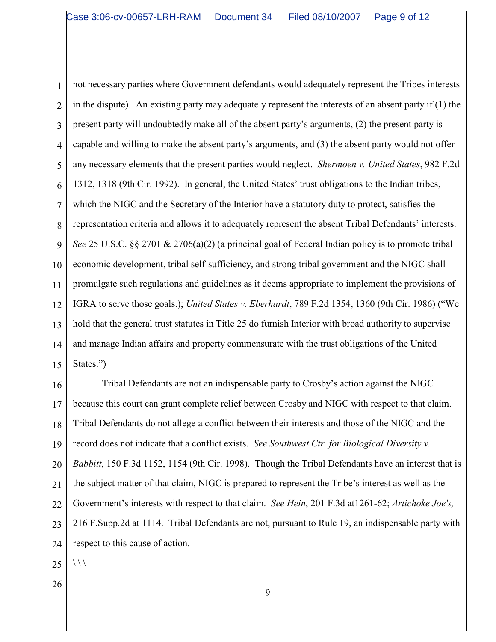1 2 3 4 5 6 7 8 9 10 11 12 13 14 15 not necessary parties where Government defendants would adequately represent the Tribes interests in the dispute). An existing party may adequately represent the interests of an absent party if (1) the present party will undoubtedly make all of the absent party's arguments, (2) the present party is capable and willing to make the absent party's arguments, and (3) the absent party would not offer any necessary elements that the present parties would neglect. *Shermoen v. United States*, 982 F.2d 1312, 1318 (9th Cir. 1992). In general, the United States' trust obligations to the Indian tribes, which the NIGC and the Secretary of the Interior have a statutory duty to protect, satisfies the representation criteria and allows it to adequately represent the absent Tribal Defendants' interests. *See* 25 U.S.C. §§ 2701 & 2706(a)(2) (a principal goal of Federal Indian policy is to promote tribal economic development, tribal self-sufficiency, and strong tribal government and the NIGC shall promulgate such regulations and guidelines as it deems appropriate to implement the provisions of IGRA to serve those goals.); *United States v. Eberhardt*, 789 F.2d 1354, 1360 (9th Cir. 1986) ("We hold that the general trust statutes in Title 25 do furnish Interior with broad authority to supervise and manage Indian affairs and property commensurate with the trust obligations of the United States.")

16 17 18 19 20 21 22 23 24 25 Tribal Defendants are not an indispensable party to Crosby's action against the NIGC because this court can grant complete relief between Crosby and NIGC with respect to that claim. Tribal Defendants do not allege a conflict between their interests and those of the NIGC and the record does not indicate that a conflict exists. *See Southwest Ctr. for Biological Diversity v. Babbitt*, 150 F.3d 1152, 1154 (9th Cir. 1998). Though the Tribal Defendants have an interest that is the subject matter of that claim, NIGC is prepared to represent the Tribe's interest as well as the Government's interests with respect to that claim. *See Hein*, 201 F.3d at1261-62; *Artichoke Joe's,* 216 F.Supp.2d at 1114. Tribal Defendants are not, pursuant to Rule 19, an indispensable party with respect to this cause of action.  $\setminus$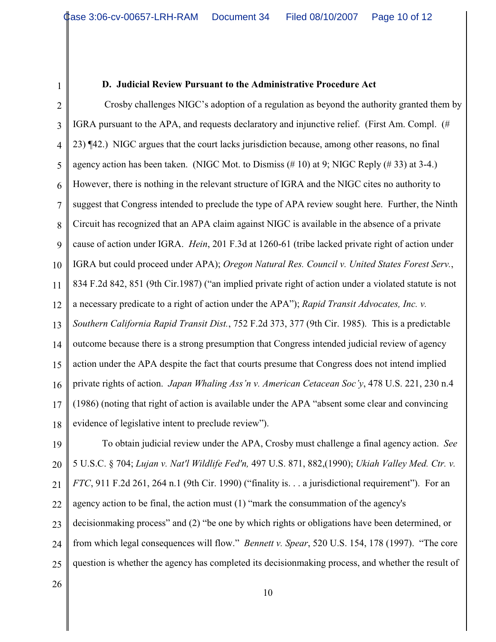# 1

#### **D. Judicial Review Pursuant to the Administrative Procedure Act**

2 3 4 5 6 7 8 9 10 11 12 13 14 15 16 17 18 Crosby challenges NIGC's adoption of a regulation as beyond the authority granted them by IGRA pursuant to the APA, and requests declaratory and injunctive relief. (First Am. Compl. (# 23) ¶42.) NIGC argues that the court lacks jurisdiction because, among other reasons, no final agency action has been taken. (NIGC Mot. to Dismiss  $(\# 10)$  at 9; NIGC Reply  $(\# 33)$  at 3-4.) However, there is nothing in the relevant structure of IGRA and the NIGC cites no authority to suggest that Congress intended to preclude the type of APA review sought here. Further, the Ninth Circuit has recognized that an APA claim against NIGC is available in the absence of a private cause of action under IGRA. *Hein*, 201 F.3d at 1260-61 (tribe lacked private right of action under IGRA but could proceed under APA); *Oregon Natural Res. Council v. United States Forest Serv.*, 834 F.2d 842, 851 (9th Cir.1987) ("an implied private right of action under a violated statute is not a necessary predicate to a right of action under the APA"); *Rapid Transit Advocates, Inc. v. Southern California Rapid Transit Dist.*, 752 F.2d 373, 377 (9th Cir. 1985). This is a predictable outcome because there is a strong presumption that Congress intended judicial review of agency action under the APA despite the fact that courts presume that Congress does not intend implied private rights of action. *Japan Whaling Ass'n v. American Cetacean Soc'y*, 478 U.S. 221, 230 n.4 (1986) (noting that right of action is available under the APA "absent some clear and convincing evidence of legislative intent to preclude review").

19 20 21 22 23 24 25 To obtain judicial review under the APA, Crosby must challenge a final agency action. *See* 5 U.S.C. § 704; *Lujan v. Nat'l Wildlife Fed'n,* 497 U.S. 871, 882,(1990); *Ukiah Valley Med. Ctr. v. FTC*, 911 F.2d 261, 264 n.1 (9th Cir. 1990) ("finality is. . . a jurisdictional requirement"). For an agency action to be final, the action must (1) "mark the consummation of the agency's decisionmaking process" and (2) "be one by which rights or obligations have been determined, or from which legal consequences will flow." *Bennett v. Spear*, 520 U.S. 154, 178 (1997). "The core question is whether the agency has completed its decisionmaking process, and whether the result of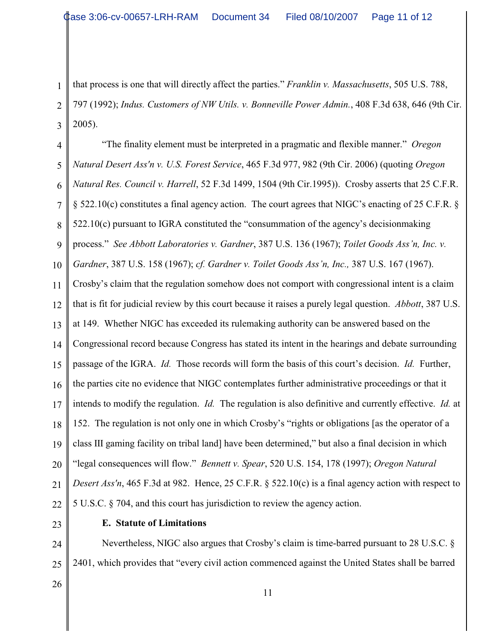2 3 that process is one that will directly affect the parties." *Franklin v. Massachusetts*, 505 U.S. 788, 797 (1992); *Indus. Customers of NW Utils. v. Bonneville Power Admin.*, 408 F.3d 638, 646 (9th Cir. 2005).

4 5 6 7 8 9 10 11 12 13 14 15 16 17 18 19 20 21 22 "The finality element must be interpreted in a pragmatic and flexible manner." *Oregon Natural Desert Ass'n v. U.S. Forest Service*, 465 F.3d 977, 982 (9th Cir. 2006) (quoting *Oregon Natural Res. Council v. Harrell*, 52 F.3d 1499, 1504 (9th Cir.1995)). Crosby asserts that 25 C.F.R. § 522.10(c) constitutes a final agency action. The court agrees that NIGC's enacting of 25 C.F.R. § 522.10(c) pursuant to IGRA constituted the "consummation of the agency's decisionmaking process." *See Abbott Laboratories v. Gardner*, 387 U.S. 136 (1967); *Toilet Goods Ass'n, Inc. v. Gardner*, 387 U.S. 158 (1967); *cf. Gardner v. Toilet Goods Ass'n, Inc.,* 387 U.S. 167 (1967). Crosby's claim that the regulation somehow does not comport with congressional intent is a claim that is fit for judicial review by this court because it raises a purely legal question. *Abbott*, 387 U.S. at 149. Whether NIGC has exceeded its rulemaking authority can be answered based on the Congressional record because Congress has stated its intent in the hearings and debate surrounding passage of the IGRA. *Id.* Those records will form the basis of this court's decision. *Id.* Further, the parties cite no evidence that NIGC contemplates further administrative proceedings or that it intends to modify the regulation. *Id.* The regulation is also definitive and currently effective. *Id.* at 152. The regulation is not only one in which Crosby's "rights or obligations [as the operator of a class III gaming facility on tribal land] have been determined," but also a final decision in which "legal consequences will flow." *Bennett v. Spear*, 520 U.S. 154, 178 (1997); *Oregon Natural Desert Ass'n*, 465 F.3d at 982. Hence, 25 C.F.R. § 522.10(c) is a final agency action with respect to 5 U.S.C. § 704, and this court has jurisdiction to review the agency action.

23

1

#### **E. Statute of Limitations**

24 25 Nevertheless, NIGC also argues that Crosby's claim is time-barred pursuant to 28 U.S.C. § 2401, which provides that "every civil action commenced against the United States shall be barred